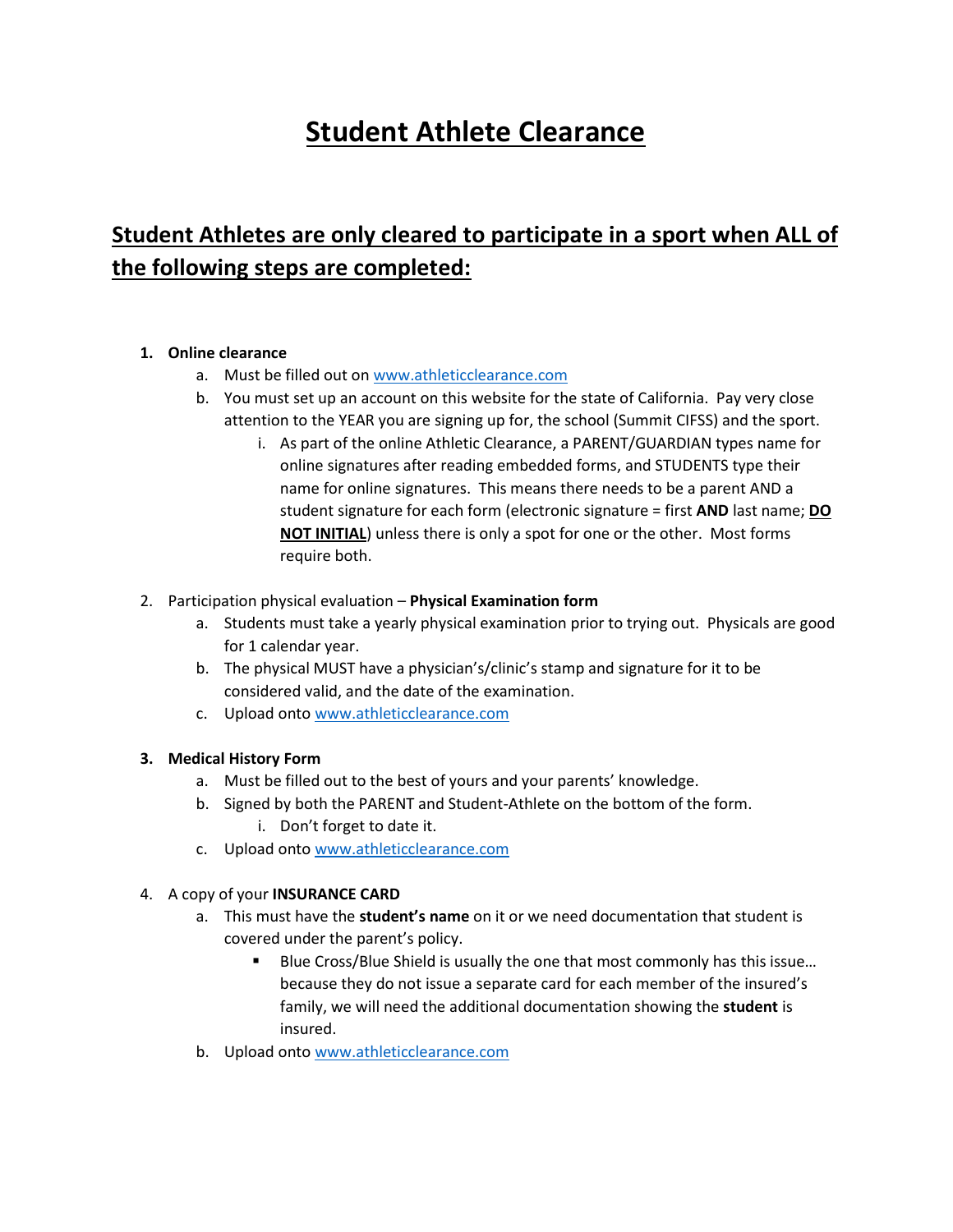# **Student Athlete Clearance**

# **Student Athletes are only cleared to participate in a sport when ALL of the following steps are completed:**

#### **1. Online clearance**

- a. Must be filled out on [www.athleticclearance.com](http://www.athleticclearance.com/)
- b. You must set up an account on this website for the state of California. Pay very close attention to the YEAR you are signing up for, the school (Summit CIFSS) and the sport.
	- i. As part of the online Athletic Clearance, a PARENT/GUARDIAN types name for online signatures after reading embedded forms, and STUDENTS type their name for online signatures. This means there needs to be a parent AND a student signature for each form (electronic signature = first **AND** last name; **DO NOT INITIAL**) unless there is only a spot for one or the other. Most forms require both.
- 2. Participation physical evaluation **Physical Examination form**
	- a. Students must take a yearly physical examination prior to trying out. Physicals are good for 1 calendar year.
	- b. The physical MUST have a physician's/clinic's stamp and signature for it to be considered valid, and the date of the examination.
	- c. Upload onto [www.athleticclearance.com](http://www.athleticclearance.com/)

## **3. Medical History Form**

- a. Must be filled out to the best of yours and your parents' knowledge.
- b. Signed by both the PARENT and Student-Athlete on the bottom of the form. i. Don't forget to date it.
- c. Upload onto [www.athleticclearance.com](http://www.athleticclearance.com/)

## 4. A copy of your **INSURANCE CARD**

- a. This must have the **student's name** on it or we need documentation that student is covered under the parent's policy.
	- Blue Cross/Blue Shield is usually the one that most commonly has this issue... because they do not issue a separate card for each member of the insured's family, we will need the additional documentation showing the **student** is insured.
- b. Upload onto [www.athleticclearance.com](http://www.athleticclearance.com/)